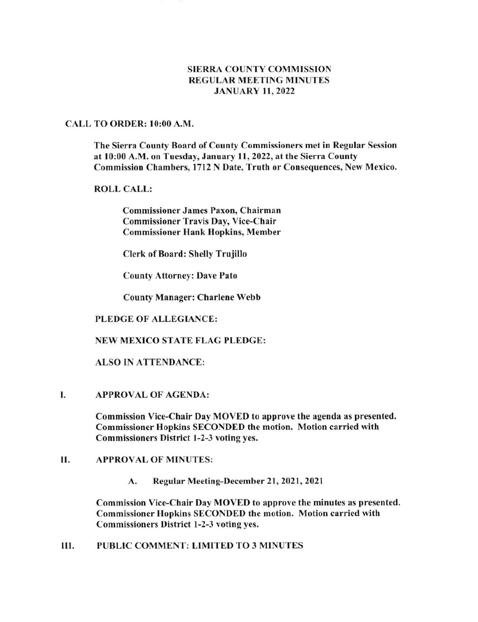# SIERRA COUNTY COMMISSION REGULAR MEETING MINUTES JANUARY II,2022

#### CALL TO ORDER: l0:00 A.M.

The Sierra County Board of County Commissioners met in Regular Session at l0:00 A.M. on Tuesday, January 11,2022, at the Sierra County Commission Chambers, l7l2 N Date, Truth or Consequences, New Mexico.

## ROLL CALL:

Commissioner James Paxon, Chairman Commissioner Travis Day, Vice-Chair Commissioner Hank Hopkins, Member

Clerk of Board: Shelly Trujillo

County Attorney: Dave Pato

County Manager: Charlene Webb

### PLEDGE OF ALLEGIANCE:

### NEW MEXICO STATE FLAG PLEDGE:

### ALSO IN ATTENDANCE:

I. APPROVAL OF AGENDA:

Commission Vice-Chair Day MOVED to approve the agenda as presented. Commissioner Hopkins SECONDED the motion. Motion carried with Commissioners District 1-2-3 voting yes.

# II. APPROVAL OF MINUTES:

A. Regular Meeting-December 21, 2021, 2021

Commission Vice-Chair Day MOVED to approve the minutes as presented. Commissioner Hopkins SECONDED the motion. Motion carried with Commissioners District 1-2-3 voting yes.

III. PUBLIC COMMENT: LIMITED TO 3 MINUTES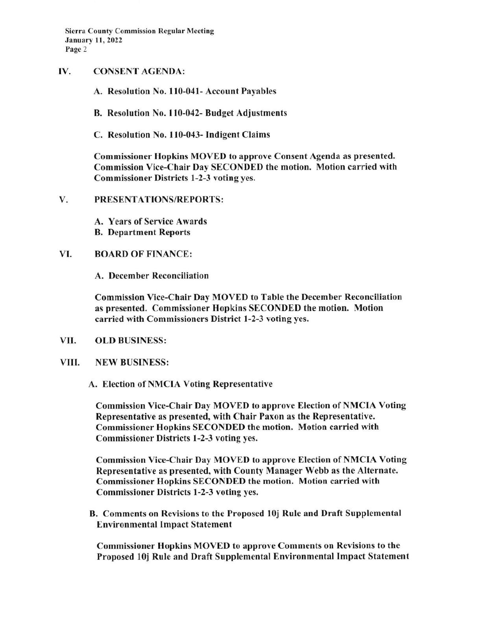- IV. CONSENT AGENDA:
	- A. Resolution No. 110-041- Account Payables
	- B. Resolution No. I 10-042- Budget Adjustments
	- C. Resolution No. 110-043- Indigent Claims

Commissioner Hopkins MOVED to approve Consent Agenda as presented. Commission Vice-Chair Day SECONDED the motion. Motion carried with Commissioner Districts l-2-3 voting yes.

- V. PRESENTATIONS/REPORTS:
	- A, Years of Service Awards B. Department Reports

## VI. BOARD OF FINANCE:

A. December Reconciliation

Commission Vice-Chair Day MOVED to Table the December Reconciliation as presented. Commissioner Hopkins SECONDED the motion. Motion carried with Commissioners District l-2-3 voting yes.

- VII. OLD BUSINESS:
- VIII. NEW BUSINESS:

A. Election of NMCIA Voting Representative

Commission Vice-Chair Day MOVED to approve Election of NMCIA Voting Representative as presented, with Chair Paxon as the Representative. Commissioner Hopkins SECONDED the motion. Motion carried with Commissioner Districts l-2-3 voting yes.

Commission Vice-Chair Day MOVED to approve Election of NMCIA Voting Representative as presented, with County Manager Webb as the Alternate. Commissioner Hopkins SECONDED the motion. Motion carried with Commissioner Districts 1-2-3 voting yes.

B. Comments on Revisions to the Proposed l0j Rule and Draft Supplemental Environmental Impact Statement

Commissioner Hopkins MOVED to approve Comments on Revisions to the Proposed l0j Rule and Draft Supplemental Environmental Impact Statement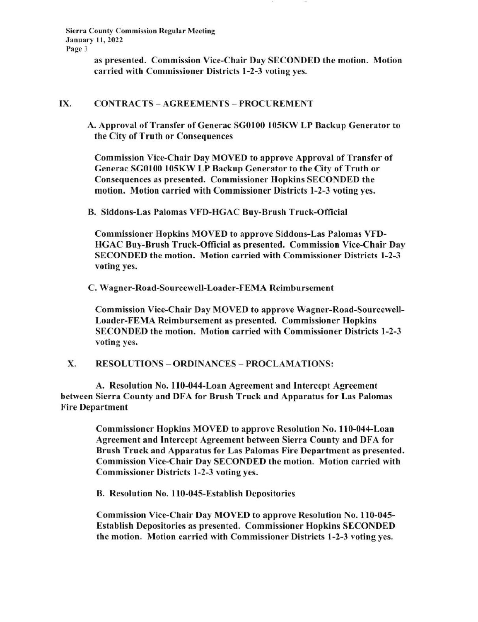> as presented. Commission Vice-Chair Day SECONDED the motion. Motion carried with Commissioner Districts 1-2-3 voting yes.

## IX. CONTRACTS - AGREEMENTS - PROCUREMENT

A. Approval of Transfer of Generac SGOl00 l05KW LP Backup Generator to the City of Truth or Consequences

Commission Vice-Chair Day MOVED to approve Approval of Transfer of Generac SG0100 105KW LP Backup Generator to the City of Truth or Consequences as presented. Commissioner Hopkins SECONDED the motion. Motion carried with Commissioner Districts l-2-3 voting yes.

B. Siddons-Las Palomas VFD-HGAC Buv-Brush Truck-Official

Commissioner Hopkins MOVED to approve Siddons-Las Palomas VFD-HGAC Buy-Brush Truck-Official as presented. Commission Vice-Chair Day SECONDED the motion. Motion carried with Commissioner Districts 1-2-3 voting yes.

C. Wagner-Road-Sourcewell-Loader-FEMA Reimbursement

Commission Vice-Chair Day MOVED to approve Wagner-Road-Sourcewell-Loader-FEMA Reimbursement as presented. Commissioner Hopkins SECONDED the motion. Motion carried with Commissioner Districts l-2-3 voting yes.

X. RESOLUTIONS - ORDINANCES - PROCLAMATIONS:

A. Resolution No. 110-044-Loan Agreement and Intercept Agreement between Sierra County and DFA for Brush Truck and Apparatus for Las Palomas Fire Department

> Commissioner Hopkins MOVED to approve Resolution No. 110-044-Loan Agreement and Intercept Agreement between Sierra County and DFA for Brush Truck and Apparatus for Las Palomas Fire Department as presented. Commission Vice-Chair Day SECONDED the motion. Motion carried with Commissioner Districts l-2-3 voting yes.

B. Resolution No. 110-045-Establish Depositories

Commission Vice-Chair Day MOVED to approve Resolution No. I 10-045- Establish Depositories as presented. Commissioner Hopkins SECONDED the motion. Motion carried with Commissioner Districts l-2-3 voting yes.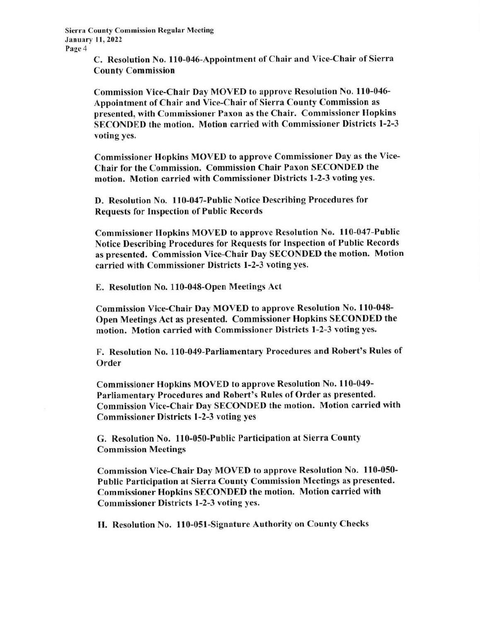> C. Resolution No. 110-046-Appointment of Chair and Vice-Chair of Sierra County Commission

Commission Vice-Chair Day MOVED to approve Resolution No. 110-046-Appointment of Chair and Vice-Chair of Sierra County Commission as presented, with Commissioner Paxon as the Chair. Commissioner Hopkins SECONDED the motion. Motion carried with Commissioner Districts l-2-3 voting yes.

Commissioner Hopkins MOVED to approve Commissioner Day as the Vice-Chair for the Commission. Commission Chair Paxon SECONDED the motion. Motion carried with Commissioner Districts l-2-3 voting yes.

D. Resolution No. 110-047-Public Notice Describing Procedures for Requests for Inspection of Public Records

Commissioner Hopkins MOVED to approve Resolution No. 110-047-Public Notice Describing Procedures for Requests for Inspection of Public Records as presented. Commission Vice-Chair Day SECONDED the motion. Motion carried with Commissioner Districts l-2-3 voting yes.

E. Resolution No, 110-048-Open Meetings Act

Commission Vice-Chair Day MOVED to approve Resolution No. 110-048-Open Meetings Act as presented. Commissioner Hopkins SECONDED the motion. Motion carried with Commissioner Districts l-2-3 voting yes.

F. Resolution No. 110-049-Parliamentary Procedures and Robert's Rules of Order

Commissioner Hopkins MOVED to approve Resolution No. 110-049-Parliamentary Procedures and Robert's Rules of Order as presented. Commission Vice-Chair Day SECONDED the motion' Motion carried with Commissioner Districts l-2-3 voting yes

G. Resolution No. 110-050-Public Participation at Sierra County Commission Meetings

Commission Vice-Chair Day MOVED to approve Resolution No. 110-050-Public Participation at Sierra County Commission Meetings as presented. Commissioner Hopkins SECONDED the motion. Motion carried with Commissioner Districts l-2-3 voting yes.

H. Resolution No. 110-051-Signature Authority on County Checks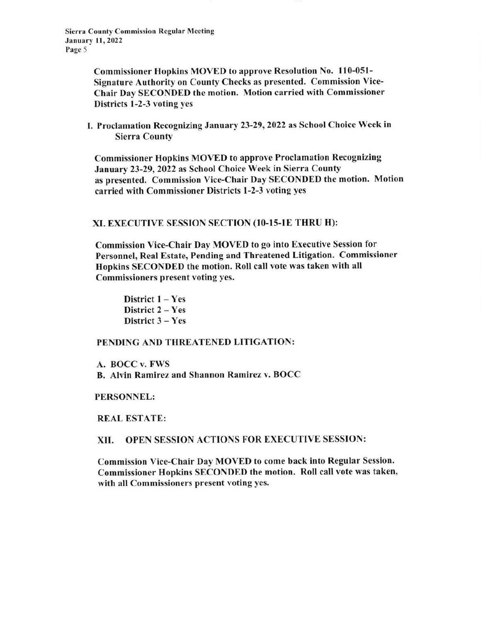> Commissioner Hopkins MOVED to approve Resolution No. 110-051-Signature Authority on County Checks as presented. Commission Vice-Chair Day SECONDED the motion. Motion carried with Commissioner Districts l-2-3 voting yes

I. Proclamation Recognizing January 23-29,2022 as School Choice Week in Sierra County

Commissioner Hopkins MOVED to approve Proclamation Recognizing January 23-29,2022 as School Choice Week in Sierra County as presented. Commission Vice-Chair Day SECONDED the motion. Motion carried with Commissioner Districts l-2-3 voting yes

#### XI. EXECUTIVE SESSION SECTION (10-I5-1E THRU H):

Commission Vice-Chair Day MOVED to go into Executive Session for Personnel, Real Estate, Pending and Threatened Litigation. Commissioner Hopkins SECONDED the motion. Roll call vote was taken with all Commissioners present voting yes.

District  $1 - Yes$ District 2 - Yes District 3 - Yes

### PENDING AND THREATENED LITIGATION:

A. BOCC v. FWS B. Alvin Ramirez and Shannon Ramirez v. BOCC

#### PERSONNEL:

REAL ESTATE:

#### XII. OPEN SESSION ACTIONS FOR EXECUTIVE SESSION:

Commission Vice-Chair Day MOVED to come back into Regular Session. Commissioner Hopkins SECONDED the motion. Roll call vote was taken' with all Commissioners present voting yes.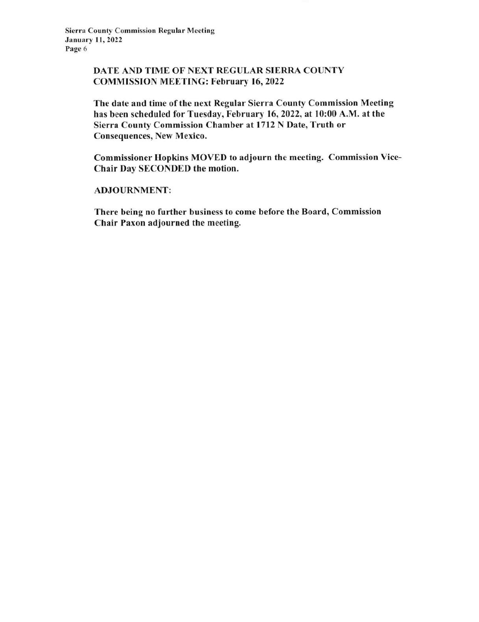# DATE AND TIME OF NEXT REGULAR SIERRA COUNTY COMMISSION MEETING: February 16, 2022

The date and time of the next Regular Sierra County Commission Meeting has been scheduled for Tuesday, February 16,2022, at l0:00 A.M. at the Sierra County Commission Chamber at 1712 N Date, Truth or Consequences, New Mexico.

Commissioner Hopkins MOVED to adjourn the meeting. Commission Vice-Chair Day SECONDED the motion.

ADJOURNMENT:

There being no further business to come before the Board, Commission Chair Paxon adjourned the meeting.